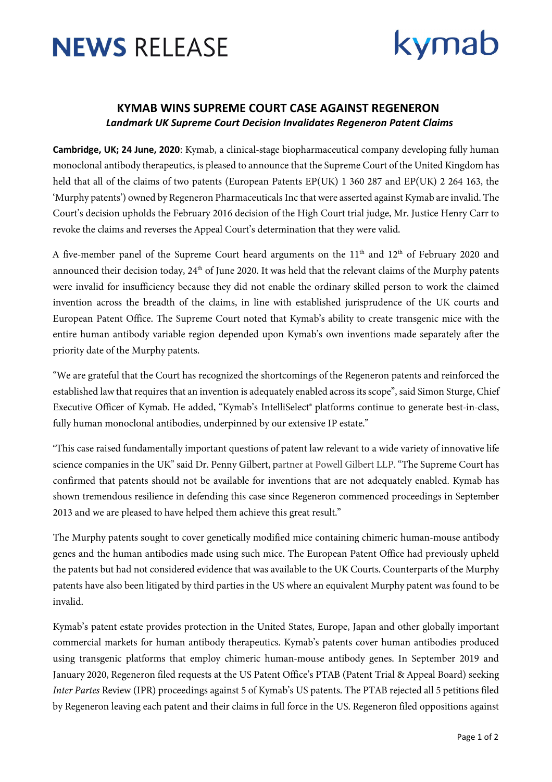

## kymab

### **KYMAB WINS SUPREME COURT CASE AGAINST REGENERON** *Landmark UK Supreme Court Decision Invalidates Regeneron Patent Claims*

**Cambridge, UK; 24 June, 2020**: Kymab, a clinical-stage biopharmaceutical company developing fully human monoclonal antibody therapeutics, is pleased to announce that the Supreme Court of the United Kingdom has held that all of the claims of two patents (European Patents EP(UK) 1 360 287 and EP(UK) 2 264 163, the 'Murphy patents') owned by Regeneron Pharmaceuticals Inc that were asserted against Kymab are invalid. The Court's decision upholds the February 2016 decision of the High Court trial judge, Mr. Justice Henry Carr to revoke the claims and reverses the Appeal Court's determination that they were valid.

A five-member panel of the Supreme Court heard arguments on the  $11<sup>th</sup>$  and  $12<sup>th</sup>$  of February 2020 and announced their decision today, 24<sup>th</sup> of June 2020. It was held that the relevant claims of the Murphy patents were invalid for insufficiency because they did not enable the ordinary skilled person to work the claimed invention across the breadth of the claims, in line with established jurisprudence of the UK courts and European Patent Office. The Supreme Court noted that Kymab's ability to create transgenic mice with the entire human antibody variable region depended upon Kymab's own inventions made separately after the priority date of the Murphy patents.

"We are grateful that the Court has recognized the shortcomings of the Regeneron patents and reinforced the established law that requires that an invention is adequately enabled across its scope", said Simon Sturge, Chief Executive Officer of Kymab. He added, "Kymab's IntelliSelect® platforms continue to generate best-in-class, fully human monoclonal antibodies, underpinned by our extensive IP estate."

"This case raised fundamentally important questions of patent law relevant to a wide variety of innovative life science companies in the UK" said Dr. Penny Gilbert, partner at Powell Gilbert LLP. "The Supreme Court has confirmed that patents should not be available for inventions that are not adequately enabled. Kymab has shown tremendous resilience in defending this case since Regeneron commenced proceedings in September 2013 and we are pleased to have helped them achieve this great result."

The Murphy patents sought to cover genetically modified mice containing chimeric human-mouse antibody genes and the human antibodies made using such mice. The European Patent Office had previously upheld the patents but had not considered evidence that was available to the UK Courts. Counterparts of the Murphy patents have also been litigated by third parties in the US where an equivalent Murphy patent was found to be invalid.

Kymab's patent estate provides protection in the United States, Europe, Japan and other globally important commercial markets for human antibody therapeutics. Kymab's patents cover human antibodies produced using transgenic platforms that employ chimeric human-mouse antibody genes. In September 2019 and January 2020, Regeneron filed requests at the US Patent Office's PTAB (Patent Trial & Appeal Board) seeking *Inter Partes* Review (IPR) proceedings against 5 of Kymab's US patents. The PTAB rejected all 5 petitions filed by Regeneron leaving each patent and their claims in full force in the US. Regeneron filed oppositions against